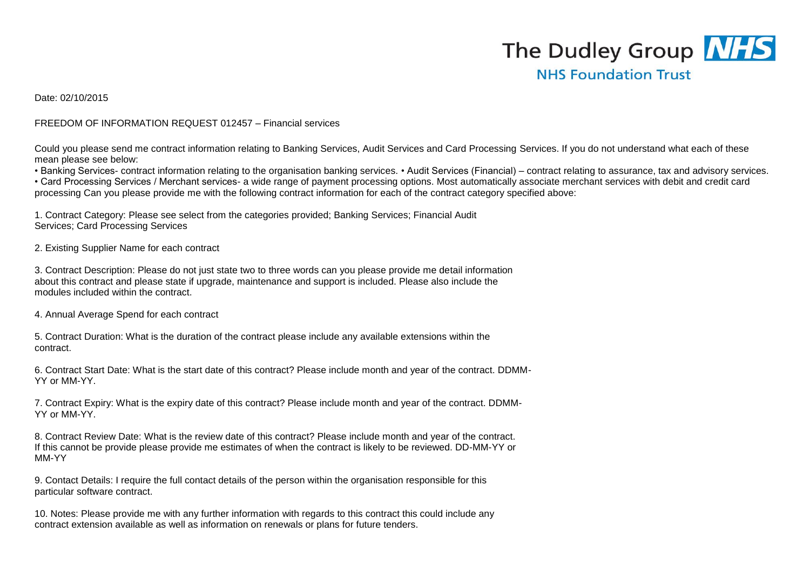## The Dudley Group NHS **NHS Foundation Trust**

Date: 02/10/2015

## FREEDOM OF INFORMATION REQUEST 012457 – Financial services

Could you please send me contract information relating to Banking Services, Audit Services and Card Processing Services. If you do not understand what each of these mean please see below:

• Banking Services- contract information relating to the organisation banking services. • Audit Services (Financial) – contract relating to assurance, tax and advisory services.

• Card Processing Services / Merchant services- a wide range of payment processing options. Most automatically associate merchant services with debit and credit card processing Can you please provide me with the following contract information for each of the contract category specified above:

1. Contract Category: Please see select from the categories provided; Banking Services; Financial Audit Services; Card Processing Services

2. Existing Supplier Name for each contract

3. Contract Description: Please do not just state two to three words can you please provide me detail information about this contract and please state if upgrade, maintenance and support is included. Please also include the modules included within the contract.

4. Annual Average Spend for each contract

5. Contract Duration: What is the duration of the contract please include any available extensions within the contract.

6. Contract Start Date: What is the start date of this contract? Please include month and year of the contract. DDMM-YY or MM-YY.

7. Contract Expiry: What is the expiry date of this contract? Please include month and year of the contract. DDMM-YY or MM-YY.

8. Contract Review Date: What is the review date of this contract? Please include month and year of the contract. If this cannot be provide please provide me estimates of when the contract is likely to be reviewed. DD-MM-YY or MM-YY

9. Contact Details: I require the full contact details of the person within the organisation responsible for this particular software contract.

10. Notes: Please provide me with any further information with regards to this contract this could include any contract extension available as well as information on renewals or plans for future tenders.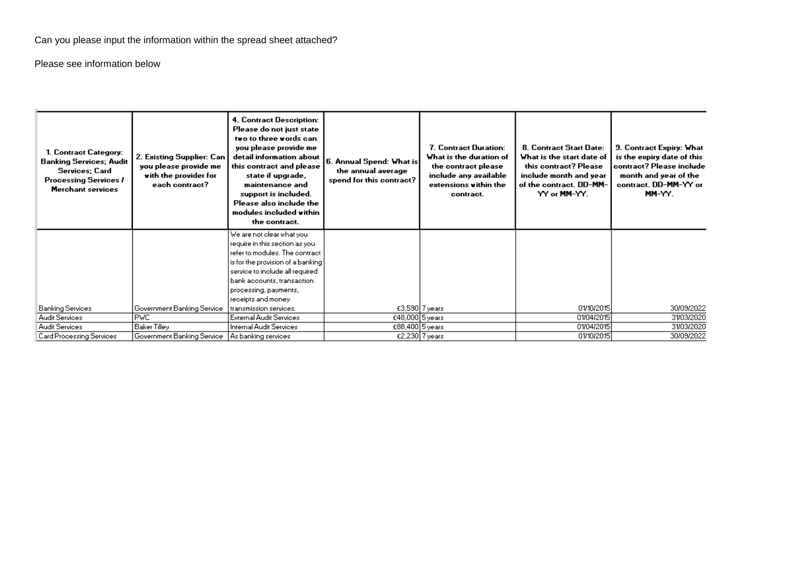Can you please input the information within the spread sheet attached?

Please see information below

| 1. Contract Category:<br><b>Banking Services; Audit</b><br>Services: Card<br><b>Processing Services /</b><br><b>Merchant services</b> | 2. Existing Supplier: Can<br>you please provide me<br>with the provider for<br>each contract? | 4. Contract Description:<br>Please do not just state<br>two to three words can<br>you please provide me<br>detail information about<br>this contract and please<br>state if upgrade,<br>maintenance and<br>support is included.<br>Please also include the<br>modules included within<br>the contract. | 6. Annual Spend: What is<br>the annual average<br>spend for this contract? | 7. Contract Duration:<br>What is the duration of<br>the contract please<br>include any available<br>extensions within the<br>contract. | 8. Contract Start Date:<br>What is the start date of<br>this contract? Please<br>include month and year<br>of the contract. DD-MM-<br>YY or MM-YY. | <b>9. Contract Expiry: What</b><br>is the expiry date of this<br>contract? Please include<br>month and year of the<br>contract. DD-MM-YY or<br>MM-YY. |
|---------------------------------------------------------------------------------------------------------------------------------------|-----------------------------------------------------------------------------------------------|--------------------------------------------------------------------------------------------------------------------------------------------------------------------------------------------------------------------------------------------------------------------------------------------------------|----------------------------------------------------------------------------|----------------------------------------------------------------------------------------------------------------------------------------|----------------------------------------------------------------------------------------------------------------------------------------------------|-------------------------------------------------------------------------------------------------------------------------------------------------------|
|                                                                                                                                       |                                                                                               | We are not clear what you<br>require in this section as you                                                                                                                                                                                                                                            |                                                                            |                                                                                                                                        |                                                                                                                                                    |                                                                                                                                                       |
|                                                                                                                                       |                                                                                               | refer to modules. The contract                                                                                                                                                                                                                                                                         |                                                                            |                                                                                                                                        |                                                                                                                                                    |                                                                                                                                                       |
|                                                                                                                                       |                                                                                               | is for the provision of a banking                                                                                                                                                                                                                                                                      |                                                                            |                                                                                                                                        |                                                                                                                                                    |                                                                                                                                                       |
|                                                                                                                                       |                                                                                               | service to include all required                                                                                                                                                                                                                                                                        |                                                                            |                                                                                                                                        |                                                                                                                                                    |                                                                                                                                                       |
|                                                                                                                                       |                                                                                               | bank accounts, transaction                                                                                                                                                                                                                                                                             |                                                                            |                                                                                                                                        |                                                                                                                                                    |                                                                                                                                                       |
|                                                                                                                                       |                                                                                               | processing, payments,                                                                                                                                                                                                                                                                                  |                                                                            |                                                                                                                                        |                                                                                                                                                    |                                                                                                                                                       |
|                                                                                                                                       |                                                                                               | receipts and money                                                                                                                                                                                                                                                                                     |                                                                            |                                                                                                                                        |                                                                                                                                                    |                                                                                                                                                       |
| Banking Services                                                                                                                      | Government Banking Service                                                                    | transmission services.                                                                                                                                                                                                                                                                                 |                                                                            | £3,590 7 years                                                                                                                         | 01/10/2015                                                                                                                                         | 30/09/2022                                                                                                                                            |
| <b>Audit Services</b>                                                                                                                 | <b>PVC</b>                                                                                    | <b>External Audit Services</b>                                                                                                                                                                                                                                                                         | £48,000 5 years                                                            |                                                                                                                                        | 01/04/2015                                                                                                                                         | 31/03/2020                                                                                                                                            |
| <b>Audit Services</b>                                                                                                                 | <b>Baker Tilley</b>                                                                           | Internal Audit Services                                                                                                                                                                                                                                                                                | £88,400 5 years                                                            |                                                                                                                                        | 01/04/2015                                                                                                                                         | 31/03/2020                                                                                                                                            |
| <b>Card Processing Services</b>                                                                                                       | Government Banking Service                                                                    | As banking services                                                                                                                                                                                                                                                                                    |                                                                            | £2,230 7 years                                                                                                                         | 01/10/2015                                                                                                                                         | 30/09/2022                                                                                                                                            |